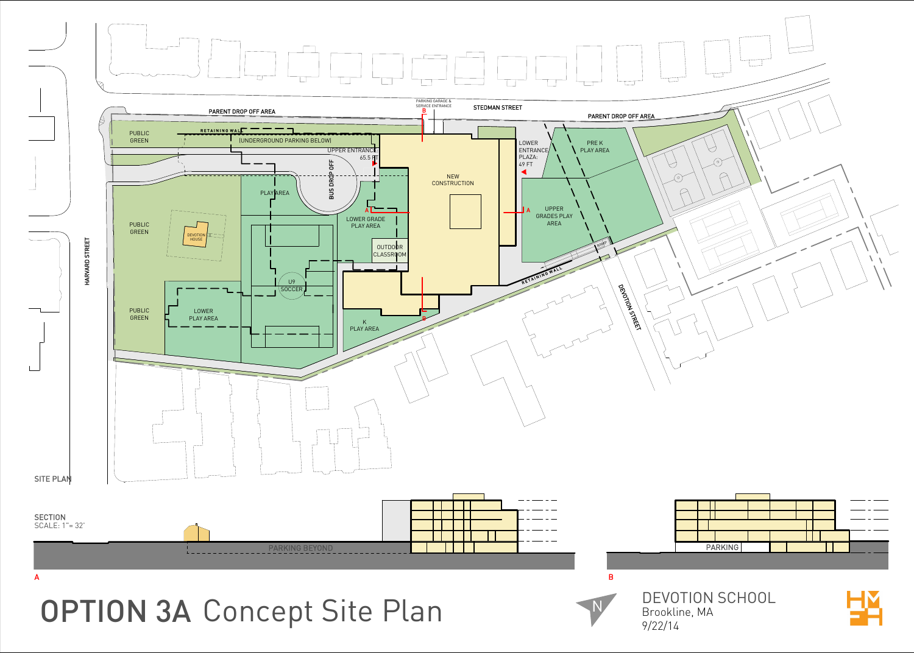



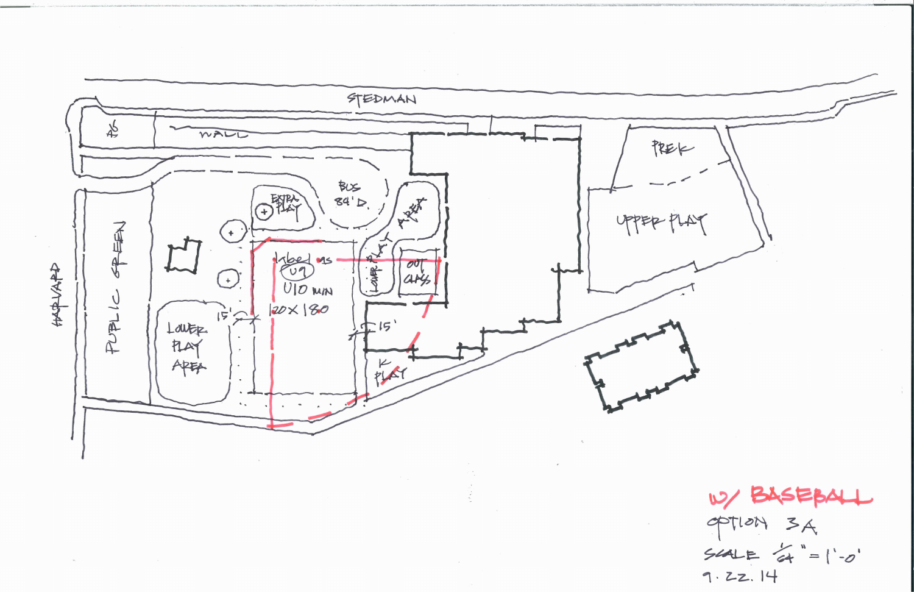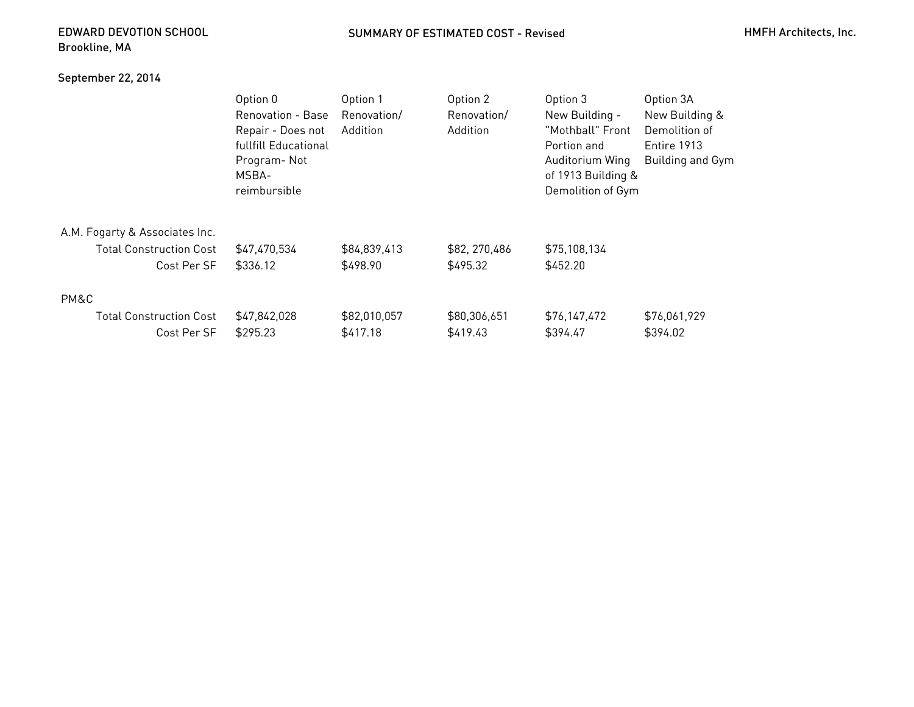## EDWARD DEVOTION SCHOOLBrookline, MA

## September 22, 2014

|                                | Option 0             | Option 1     | Option 2       | Option 3           | Option 3A        |
|--------------------------------|----------------------|--------------|----------------|--------------------|------------------|
|                                | Renovation - Base    | Renovation/  | Renovation/    | New Building -     | New Building &   |
|                                | Repair - Does not    | Addition     | Addition       | "Mothball" Front   | Demolition of    |
|                                | fullfill Educational |              |                | Portion and        | Entire 1913      |
|                                | Program-Not          |              |                | Auditorium Wing    | Building and Gym |
|                                | MSBA-                |              |                | of 1913 Building & |                  |
|                                | reimbursible         |              |                | Demolition of Gym  |                  |
| A.M. Fogarty & Associates Inc. |                      |              |                |                    |                  |
| <b>Total Construction Cost</b> | \$47,470,534         | \$84,839,413 | \$82, 270, 486 | \$75,108,134       |                  |
| Cost Per SF                    | \$336.12             | \$498.90     | \$495.32       | \$452.20           |                  |
| PM&C                           |                      |              |                |                    |                  |
| <b>Total Construction Cost</b> | \$47,842,028         | \$82,010,057 | \$80,306,651   | \$76,147,472       | \$76,061,929     |
| Cost Per SF                    | \$295.23             | \$417.18     | \$419.43       | \$394.47           | \$394.02         |